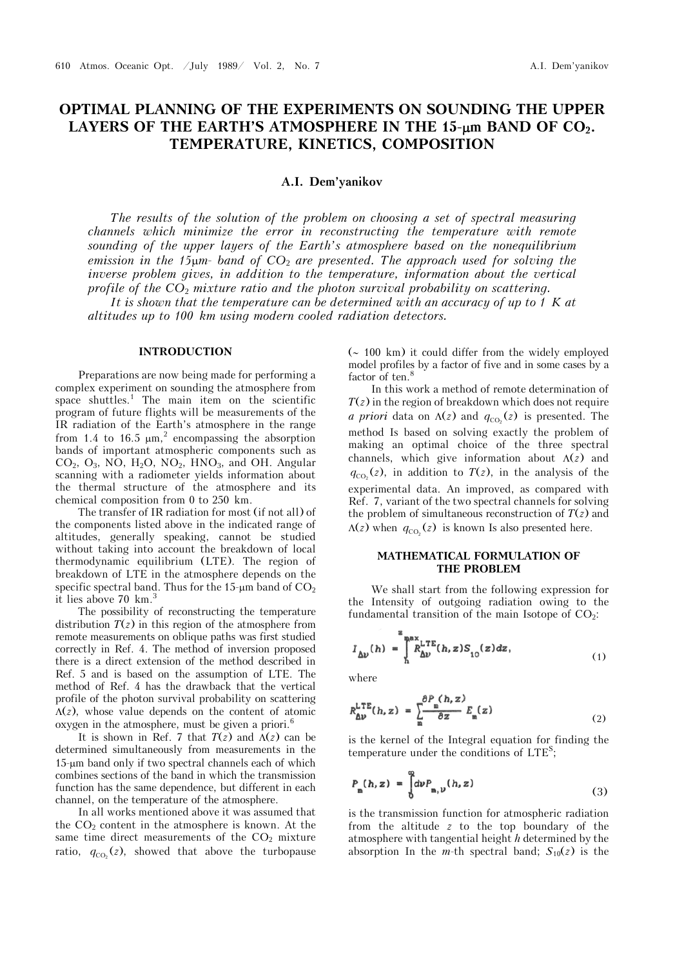# **OPTIMAL PLANNING OF THE EXPERIMENTS ON SOUNDING THE UPPER**  LAYERS OF THE EARTH'S ATMOSPHERE IN THE 15-µm BAND OF CO<sub>2</sub>. **TEMPERATURE, KINETICS, COMPOSITION**

# **A.I. Dem'yanikov**

*The results of the solution of the problem on choosing a set of spectral measuring channels which minimize the error in reconstructing the temperature with remote sounding of the upper layers of the Earth's atmosphere based on the nonequilibrium emission in the 15m- band of CO*2 *are presented. The approach used for solving the inverse problem gives, in addition to the temperature, information about the vertical profile of the CO*2 *mixture ratio and the photon survival probability on scattering. It is shown that the temperature can be determined with an accuracy of up to 1 K at* 

*altitudes up to 100 km using modern cooled radiation detectors.*

## **INTRODUCTION**

Preparations are now being made for performing a complex experiment on sounding the atmosphere from space shuttles.<sup>1</sup> The main item on the scientific program of future flights will be measurements of the IR radiation of the Earth's atmosphere in the range from 1.4 to 16.5  $\mu$ m,<sup>2</sup> encompassing the absorption bands of important atmospheric components such as  $CO<sub>2</sub>, O<sub>3</sub>, NO, H<sub>2</sub>O, NO<sub>2</sub>, HNO<sub>3</sub>, and OH. Angular$ scanning with a radiometer yields information about the thermal structure of the atmosphere and its chemical composition from 0 to 250 km.

The transfer of IR radiation for most (if not all) of the components listed above in the indicated range of altitudes, generally speaking, cannot be studied without taking into account the breakdown of local thermodynamic equilibrium (LTE). The region of breakdown of LTE in the atmosphere depends on the specific spectral band. Thus for the  $15$ -µm band of  $CO<sub>2</sub>$ it lies above 70 km.

The possibility of reconstructing the temperature distribution  $T(z)$  in this region of the atmosphere from remote measurements on oblique paths was first studied correctly in Ref. 4. The method of inversion proposed there is a direct extension of the method described in Ref. 5 and is based on the assumption of LTE. The method of Ref. 4 has the drawback that the vertical profile of the photon survival probability on scattering  $\Lambda(z)$ , whose value depends on the content of atomic oxygen in the atmosphere, must be given a priori. $<sup>6</sup>$ </sup>

It is shown in Ref. 7 that  $T(z)$  and  $\Lambda(z)$  can be determined simultaneously from measurements in the 15-um band only if two spectral channels each of which combines sections of the band in which the transmission function has the same dependence, but different in each channel, on the temperature of the atmosphere.

In all works mentioned above it was assumed that the  $CO<sub>2</sub>$  content in the atmosphere is known. At the same time direct measurements of the  $CO<sub>2</sub>$  mixture ratio,  $q_{CO_2}(z)$ , showed that above the turbopause

 $({\sim 100 \text{ km}})$  it could differ from the widely employed model profiles by a factor of five and in some cases by a factor of ten.<sup>8</sup>

In this work a method of remote determination of *T*(*z*) in the region of breakdown which does not require *a priori* data on  $\Lambda(z)$  and  $q_{CO_2}(z)$  is presented. The method Is based on solving exactly the problem of making an optimal choice of the three spectral channels, which give information about  $\Lambda(z)$  and  $q_{\text{CO}_2}(z)$ , in addition to  $T(z)$ , in the analysis of the experimental data. An improved, as compared with Ref. 7, variant of the two spectral channels for solving the problem of simultaneous reconstruction of *T*(*z*) and  $\Lambda(z)$  when  $q_{CO_2}(z)$  is known Is also presented here.

## **MATHEMATICAL FORMULATION OF THE PROBLEM**

We shall start from the following expression for the Intensity of outgoing radiation owing to the fundamental transition of the main Isotope of  $CO<sub>2</sub>$ :

$$
I_{\Delta\nu}(h) = \int_{h}^{z_{\text{max}}} R_{\Delta\nu}^{\text{LTE}}(h, z) S_{10}(z) dz, \tag{1}
$$

where

$$
R_{\Delta\nu}^{\text{LTE}}(h, z) = \sum_{m} \frac{\partial P_m(h, z)}{\partial z} E_m(z) \tag{2}
$$

is the kernel of the Integral equation for finding the temperature under the conditions of LTE<sup>S</sup> ;

$$
P_{\mathbf{m}}(h, z) = \int_{0}^{\infty} d\nu P_{\mathbf{m}, \nu}(h, z) \tag{3}
$$

is the transmission function for atmospheric radiation from the altitude *z* to the top boundary of the atmosphere with tangential height *h* determined by the absorption In the *m*-th spectral band;  $S_{10}(z)$  is the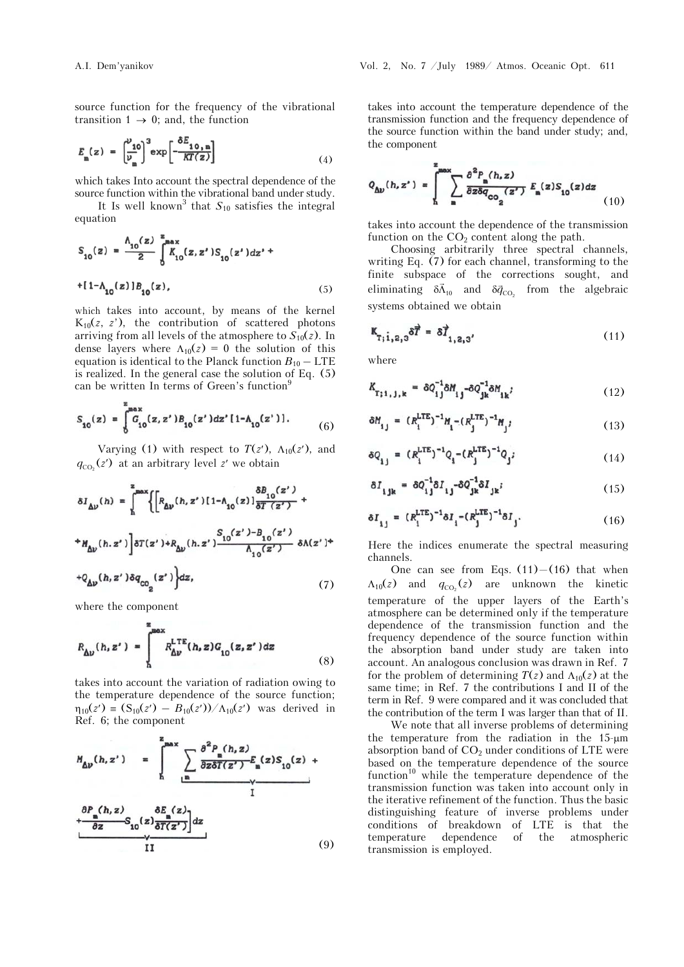source function for the frequency of the vibrational transition  $1 \rightarrow 0$ ; and, the function

$$
E_{\mathbf{m}}(z) = \left(\frac{\nu_{10}}{\nu_{\mathbf{m}}}\right)^3 \exp\left[-\frac{\delta E_{10,\mathbf{m}}}{KT(z)}\right]
$$
(4)

which takes Into account the spectral dependence of the source function within the vibrational band under study.

It Is well known<sup>3</sup> that  $S_{10}$  satisfies the integral equation

$$
S_{10}(z) = \frac{\Lambda_{10}(z)}{2} \int_{10}^{z_{\text{max}}} K_{10}(z, z') S_{10}(z') dz' +
$$
  
+[1-\Lambda\_{10}(z)]B<sub>10</sub>(z), (5)

which takes into account, by means of the kernel  $K_{10}(z, z')$ , the contribution of scattered photons arriving from all levels of the atmosphere to  $S_{10}(z)$ . In dense layers where  $\Lambda_{10}(z) = 0$  the solution of this equation is identical to the Planck function  $B_{10}$  – LTE is realized. In the general case the solution of Eq. (5) can be written In terms of Green's function<sup>9</sup>

$$
S_{10}(z) = \int_0^{x_0} G_{10}(z, z') B_{10}(z') dz' [1 - \Lambda_{10}(z')]. \tag{6}
$$

Varying (1) with respect to  $T(z')$ ,  $\Lambda_{10}(z')$ , and  $q_{\text{co}_2}(z')$  at an arbitrary level z' we obtain

$$
\delta I_{\Delta\nu}(h) = \int_{h}^{z_{\text{max}}} \Biggl\{ \Biggl[ R_{\Delta\nu}(h,z') [1-\Lambda_{10}(z)] \frac{\delta B_{10}(z')}{\delta T \left(z'\right)} + \Biggr. \nonumber \\ \left. + M_{\Delta\nu}(h,z') \Biggr] \delta T(z') + R_{\Delta\nu}(h,z') \frac{S_{10}(z')-B_{10}(z')}{\Lambda_{10}(z')} \; \delta \Lambda(z') + \Biggr.
$$

$$
+Q_{\Delta\nu}(h,z')\delta q_{\text{co}_2}(z')dz,
$$
\n(7)

where the component

 $\ddot{ }$ 

$$
R_{\Delta v}(h, z') = \int_{h}^{\text{max}} R_{\Delta v}^{\text{LTE}}(h, z) G_{10}(z, z') dz
$$
 (8)

takes into account the variation of radiation owing to the temperature dependence of the source function;  $\eta_{10}(z') \equiv (S_{10}(z') - B_{10}(z')) / \Lambda_{10}(z')$  was derived in Ref. 6; the component

$$
M_{\Delta v}(h, z') = \int_{h}^{z_{\text{max}}} \sum_{\underline{n}} \frac{\partial^{2} P_{\underline{n}}(h, z)}{\partial z \partial T(z')} E_{\underline{n}}(z) S_{10}(z) + \frac{\partial P_{\underline{n}}(h, z)}{\partial z} S_{10}(z) \frac{\partial E_{\underline{n}}(z)}{\partial T(z')}dz + \frac{\partial E_{\underline{n}}(z)}{\partial T(z')}dz
$$
\n(9)

takes into account the temperature dependence of the transmission function and the frequency dependence of the source function within the band under study; and, the component

$$
Q_{\Delta\nu}(h,z') = \int_{h}^{z_{\text{max}}} \sum_{m} \frac{\partial^2 P_m(h,z)}{\partial z \delta q_{\text{CO}_2}(z')} F_m(z) S_{10}(z) dz
$$
 (10)

takes into account the dependence of the transmission function on the  $CO<sub>2</sub>$  content along the path.

Choosing arbitrarily three spectral channels, writing Eq. (7) for each channel, transforming to the finite subspace of the corrections sought, and eliminating  $\delta \vec{\Lambda}_{10}$  and  $\delta \vec{q}_{CO_2}$  from the algebraic systems obtained we obtain

$$
\mathbf{K}_{\mathbf{T}_{1}\mathbf{i},\mathbf{2},3}\delta\vec{T} = \delta\vec{T}_{1,2,3'}\tag{11}
$$

where

$$
K_{\mathbf{T};1,j,k} = \delta Q_{1j}^{-1} \delta M_{1j} - \delta Q_{jk}^{-1} \delta M_{1k} \tag{12}
$$

$$
\delta M_{ij} = (R_i^{\text{LTE}})^{-1} M_i - (R_j^{\text{LTE}})^{-1} M_j; \tag{13}
$$

$$
\delta Q_{ij} = (R_i^{\text{LTE}})^{-1} Q_i - (R_j^{\text{LTE}})^{-1} Q_j;
$$
 (14)

$$
\delta I_{ijk} = \delta Q_{ij}^{-1} \delta I_{ij} - \delta Q_{jk}^{-1} \delta I_{jk} i \tag{15}
$$

$$
\delta I_{1j} = (R_1^{\text{LTE}})^{-1} \delta I_{1} - (R_j^{\text{LTE}})^{-1} \delta I_{j}.
$$
 (16)

Here the indices enumerate the spectral measuring channels.

One can see from Eqs.  $(11) - (16)$  that when  $\Lambda_{10}(z)$  and  $q_{CO_2}(z)$  are unknown the kinetic temperature of the upper layers of the Earth's atmosphere can be determined only if the temperature dependence of the transmission function and the frequency dependence of the source function within the absorption band under study are taken into account. An analogous conclusion was drawn in Ref. 7 for the problem of determining  $T(z)$  and  $\Lambda_{10}(z)$  at the same time; in Ref. 7 the contributions I and II of the term in Ref. 9 were compared and it was concluded that the contribution of the term I was larger than that of II.

We note that all inverse problems of determining the temperature from the radiation in the 15-um absorption band of  $CO<sub>2</sub>$  under conditions of LTE were based on the temperature dependence of the source function<sup>10</sup> while the temperature dependence of the transmission function was taken into account only in the iterative refinement of the function. Thus the basic distinguishing feature of inverse problems under conditions of breakdown of LTE is that the temperature dependence of the atmospheric transmission is employed.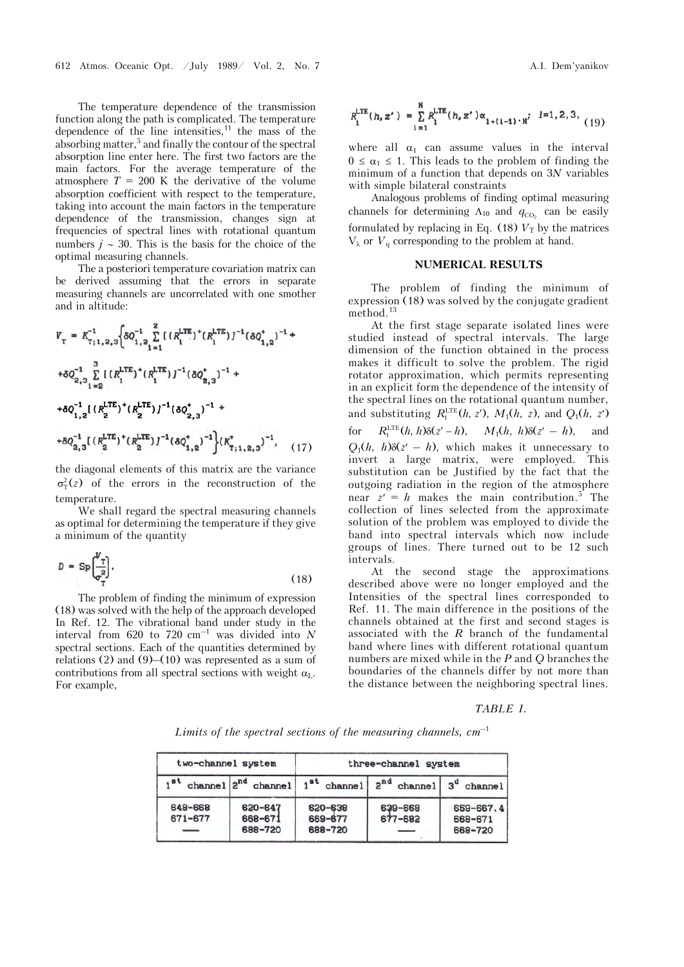The temperature dependence of the transmission function along the path is complicated. The temperature dependence of the line intensities, $11$  the mass of the absorbing matter,<sup>5</sup> and finally the contour of the spectral absorption line enter here. The first two factors are the main factors. For the average temperature of the atmosphere  $T = 200$  K the derivative of the volume absorption coefficient with respect to the temperature, taking into account the main factors in the temperature dependence of the transmission, changes sign at frequencies of spectral lines with rotational quantum numbers  $j \sim 30$ . This is the basis for the choice of the optimal measuring channels.

The a posteriori temperature covariation matrix can be derived assuming that the errors in separate measuring channels are uncorrelated with one smother and in altitude:

$$
V_{\text{T}} = K_{\text{T};1,2,3}^{-1} \Big\{ \delta Q_{1,2}^{-1} \sum_{i=1}^{8} \left[ \left( R_{i}^{\text{LTE}} \right)^{*} \left( R_{i}^{\text{LTE}} \right) \right]^{-1} \left( \delta Q_{1,2}^{*} \right)^{-1} +
$$
  
+
$$
\delta Q_{2,3}^{-1} \sum_{i=2}^{3} \left[ \left( R_{i}^{\text{LTE}} \right)^{*} \left( R_{i}^{\text{LTE}} \right) \right]^{-1} \left( \delta Q_{2,3}^{*} \right)^{-1} +
$$
  
+
$$
\delta Q_{1,2}^{-1} \left[ \left( R_{2}^{\text{LTE}} \right)^{*} \left( R_{2}^{\text{LTE}} \right) \right]^{-1} \left( \delta Q_{2,3}^{*} \right)^{-1} +
$$
  
+
$$
\delta Q_{2,3}^{-1} \left[ \left( R_{2}^{\text{LTE}} \right)^{*} \left( R_{2}^{\text{LTE}} \right) \right]^{-1} \left( \delta Q_{1,2}^{*} \right)^{-1} \Big\} \left( K_{\text{T};1,2,3}^{*} \right)^{-1}, \quad (17)
$$

the diagonal elements of this matrix are the variance  $\sigma_T^2(z)$  of the errors in the reconstruction of the temperature.

We shall regard the spectral measuring channels as optimal for determining the temperature if they give a minimum of the quantity

$$
D = \text{Sp}\left(\frac{V_{\text{T}}}{\sigma_{\text{T}}^2}\right). \tag{18}
$$

The problem of finding the minimum of expression (18) was solved with the help of the approach developed In Ref. 12. The vibrational band under study in the interval from 620 to 720  $\text{cm}^{-1}$  was divided into *N* spectral sections. Each of the quantities determined by relations  $(2)$  and  $(9)$ – $(10)$  was represented as a sum of contributions from all spectral sections with weight  $\alpha_{\text{L}}$ . For example,

$$
R_i^{\text{LTE}}(h, z') = \sum_{1=1}^{N} R_i^{\text{LTE}}(h, z') \alpha_{1 + (1-1) \cdot N} \quad i = 1, 2, 3, \quad (19)
$$

where all  $\alpha_1$  can assume values in the interval  $0 \leq \alpha_1 \leq 1$ . This leads to the problem of finding the minimum of a function that depends on 3*N* variables with simple bilateral constraints

Analogous problems of finding optimal measuring channels for determining  $\Lambda_{10}$  and  $q_{CO}$  can be easily formulated by replacing in Eq. (18)  $V<sub>T</sub>$  by the matrices  $V_{\lambda}$  or  $V_{q}$  corresponding to the problem at hand.

#### **NUMERICAL RESULTS**

The problem of finding the minimum of expression (18) was solved by the conjugate gradient method.<sup>13</sup>

At the first stage separate isolated lines were studied instead of spectral intervals. The large dimension of the function obtained in the process makes it difficult to solve the problem. The rigid rotator approximation, which permits representing in an explicit form the dependence of the intensity of the spectral lines on the rotational quantum number, and substituting  $R_1^{\text{LTE}}(h, z')$ ,  $M_1(h, z)$ , and  $Q_1(h, z')$ for  $R_1^{\text{LTE}}(h, h) \delta(z' - h), \quad M_1(h, h) \delta(z' - h), \text{ and}$  $Q_1(h, h)\delta(z - h)$ , which makes it unnecessary to invert a large matrix, were employed. This substitution can be Justified by the fact that the outgoing radiation in the region of the atmosphere near  $z' = h$  makes the main contribution.<sup>5</sup> The collection of lines selected from the approximate solution of the problem was employed to divide the band into spectral intervals which now include groups of lines. There turned out to be 12 such intervals.

At the second stage the approximations described above were no longer employed and the Intensities of the spectral lines corresponded to Ref. 11. The main difference in the positions of the channels obtained at the first and second stages is associated with the *R* branch of the fundamental band where lines with different rotational quantum numbers are mixed while in the *P* and *Q* branches the boundaries of the channels differ by not more than the distance between the neighboring spectral lines.

#### *TABLE I.*

*Limits of the spectral sections of the measuring channels, cm*–1

| two-channel system |                               | three-channel system          |                    |                                 |
|--------------------|-------------------------------|-------------------------------|--------------------|---------------------------------|
| Ja,                | channel $ 2^{nd}$ channel     | $1st$ channel                 | $2^{nd}$ channel   | $3d$ channel                    |
| 648-668<br>671-677 | 620-647<br>668-671<br>688-720 | 620-638<br>669-677<br>688-720 | 639-668<br>677-682 | 659-667.4<br>668-671<br>668-720 |